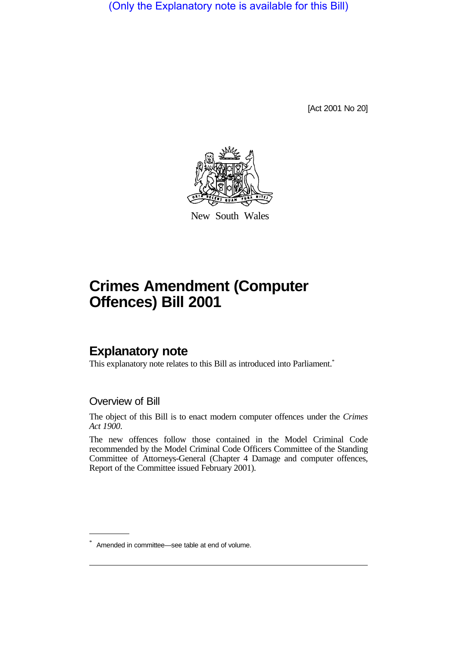(Only the Explanatory note is available for this Bill)

[Act 2001 No 20]



New South Wales

## **Crimes Amendment (Computer Offences) Bill 2001**

## **Explanatory note**

This explanatory note relates to this Bill as introduced into Parliament.<sup>\*</sup>

## Overview of Bill

The object of this Bill is to enact modern computer offences under the *Crimes Act 1900*.

The new offences follow those contained in the Model Criminal Code recommended by the Model Criminal Code Officers Committee of the Standing Committee of Attorneys-General (Chapter 4 Damage and computer offences, Report of the Committee issued February 2001).

<sup>\*</sup> Amended in committee—see table at end of volume.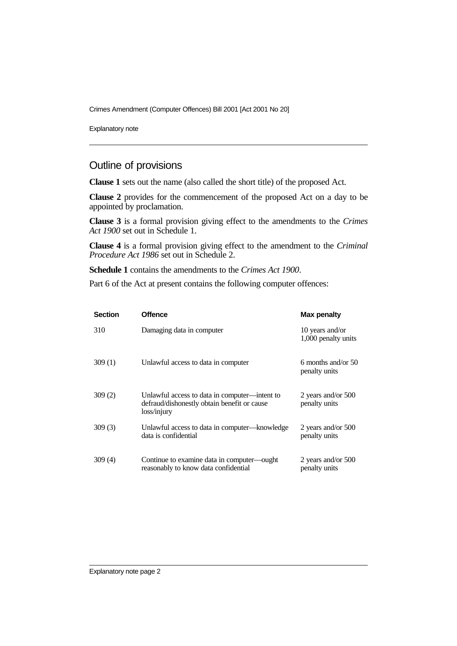Crimes Amendment (Computer Offences) Bill 2001 [Act 2001 No 20]

Explanatory note

## Outline of provisions

**Clause 1** sets out the name (also called the short title) of the proposed Act.

**Clause 2** provides for the commencement of the proposed Act on a day to be appointed by proclamation.

**Clause 3** is a formal provision giving effect to the amendments to the *Crimes Act 1900* set out in Schedule 1.

**Clause 4** is a formal provision giving effect to the amendment to the *Criminal Procedure Act 1986* set out in Schedule 2.

**Schedule 1** contains the amendments to the *Crimes Act 1900*.

Part 6 of the Act at present contains the following computer offences:

| <b>Section</b> | <b>Offence</b>                                                                                              | <b>Max penalty</b>                     |
|----------------|-------------------------------------------------------------------------------------------------------------|----------------------------------------|
| 310            | Damaging data in computer                                                                                   | 10 years and/or<br>1,000 penalty units |
| 309(1)         | Unlawful access to data in computer                                                                         | 6 months and/or $50$<br>penalty units  |
| 309(2)         | Unlawful access to data in computer—intent to<br>defraud/dishonestly obtain benefit or cause<br>loss/injury | 2 years and/or 500<br>penalty units    |
| 309(3)         | Unlawful access to data in computer—knowledge<br>data is confidential                                       | 2 years and/or $500$<br>penalty units  |
| 309 (4)        | Continue to examine data in computer—ought<br>reasonably to know data confidential                          | 2 years and/or 500<br>penalty units    |